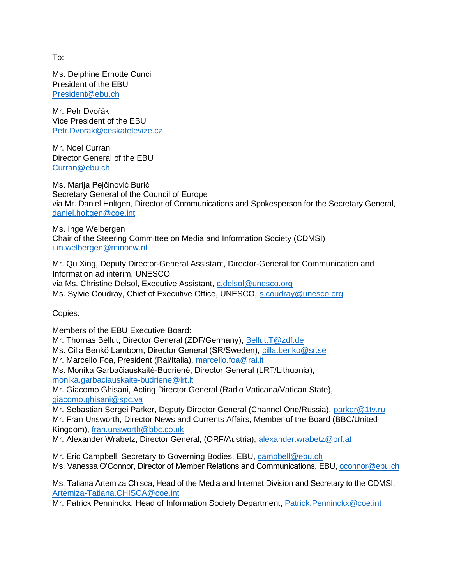To:

Ms. Delphine Ernotte Cunci President of the EBU [President@ebu.ch](mailto:President@ebu.ch)

Mr. Petr Dvořák Vice President of the EBU [Petr.Dvorak@ceskatelevize.cz](mailto:Petr.Dvorak@ceskatelevize.cz)

Mr. Noel Curran Director General of the EBU [Curran@ebu.ch](mailto:Curran@ebu.ch)

Ms. Marija Pejčinović Burić Secretary General of the Council of Europe via Mr. Daniel Holtgen, Director of Communications and Spokesperson for the Secretary General, [daniel.holtgen@coe.int](mailto:daniel.holtgen@coe.int)

Ms. Inge Welbergen Chair of the Steering Committee on Media and Information Society (CDMSI) [i.m.welbergen@minocw.nl](mailto:i.m.welbergen@minocw.nl)

Mr. Qu Xing, Deputy Director-General Assistant, Director-General for Communication and Information ad interim, UNESCO via Ms. Christine Delsol, Executive Assistant, [c.delsol@unesco.org](mailto:c.delsol@unesco.org) Ms. Sylvie Coudray, Chief of Executive Office, UNESCO, [s.coudray@unesco.org](mailto:s.coudray@unesco.org)

Copies:

Members of the EBU Executive Board: Mr. Thomas Bellut, Director General (ZDF/Germany), [Bellut.T@zdf.de](mailto:Bellut.T@zdf.de) Ms. Cilla Benkö Lamborn, Director General (SR/Sweden), [cilla.benko@sr.se](mailto:cilla.benko@sr.se) Mr. Marcello Foa, President (Rai/Italia), [marcello.foa@rai.it](mailto:marcello.foa@rai.it) Ms. Monika Garbačiauskaitė-Budrienė, Director General (LRT/Lithuania), [monika.garbaciauskaite-budriene@lrt.lt](mailto:monika.garbaciauskaite-budriene@lrt.lt) Mr. Giacomo Ghisani, Acting Director General (Radio Vaticana/Vatican State), [giacomo.ghisani@spc.va](mailto:giacomo.ghisani@spc.va) Mr. Sebastian Sergei Parker, Deputy Director General (Channel One/Russia), [parker@1tv.ru](mailto:parker@1tv.ru) Mr. Fran Unsworth, Director News and Currents Affairs, Member of the Board (BBC/United Kingdom), [fran.unsworth@bbc.co.uk](mailto:fran.unsworth@bbc.co.uk) Mr. Alexander Wrabetz, Director General, (ORF/Austria), [alexander.wrabetz@orf.at](mailto:alexander.wrabetz@orf.at) Mr. Eric Campbell, Secretary to Governing Bodies, EBU, [campbell@ebu.ch](mailto:campbell@ebu.ch)

Ms. Vanessa O'Connor, Director of Member Relations and Communications, EBU, [oconnor@ebu.ch](mailto:oconnor@ebu.ch)

Ms. Tatiana Artemiza Chisca, Head of the Media and Internet Division and Secretary to the CDMSI, [Artemiza-Tatiana.CHISCA@coe.int](mailto:Artemiza-Tatiana.CHISCA@coe.int)

Mr. Patrick Penninckx, Head of Information Society Department, [Patrick.Penninckx@coe.int](mailto:Patrick.Penninckx@coe.int)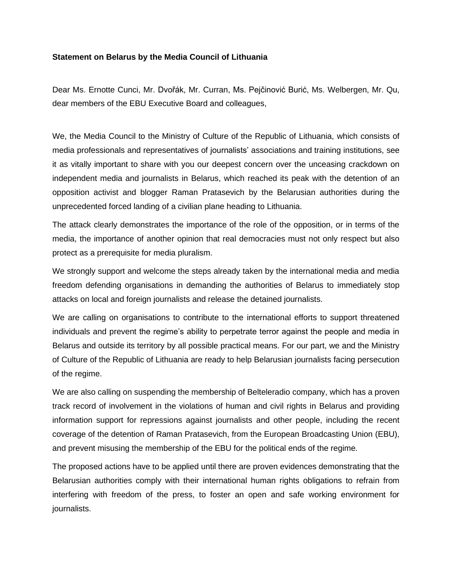## **Statement on Belarus by the Media Council of Lithuania**

Dear Ms. Ernotte Cunci, Mr. Dvořák, Mr. Curran, Ms. Pejčinović Burić, Ms. Welbergen, Mr. Qu, dear members of the EBU Executive Board and colleagues,

We, the Media Council to the Ministry of Culture of the Republic of Lithuania, which consists of media professionals and representatives of journalists' associations and training institutions, see it as vitally important to share with you our deepest concern over the unceasing crackdown on independent media and journalists in Belarus, which reached its peak with the detention of an opposition activist and blogger Raman Pratasevich by the Belarusian authorities during the unprecedented forced landing of a civilian plane heading to Lithuania.

The attack clearly demonstrates the importance of the role of the opposition, or in terms of the media, the importance of another opinion that real democracies must not only respect but also protect as a prerequisite for media pluralism.

We strongly support and welcome the steps already taken by the international media and media freedom defending organisations in demanding the authorities of Belarus to immediately stop attacks on local and foreign journalists and release the detained journalists.

We are calling on organisations to contribute to the international efforts to support threatened individuals and prevent the regime's ability to perpetrate terror against the people and media in Belarus and outside its territory by all possible practical means. For our part, we and the Ministry of Culture of the Republic of Lithuania are ready to help Belarusian journalists facing persecution of the regime.

We are also calling on suspending the membership of Belteleradio company, which has a proven track record of involvement in the violations of human and civil rights in Belarus and providing information support for repressions against journalists and other people, including the recent coverage of the detention of Raman Pratasevich, from the European Broadcasting Union (EBU), and prevent misusing the membership of the EBU for the political ends of the regime.

The proposed actions have to be applied until there are proven evidences demonstrating that the Belarusian authorities comply with their international human rights obligations to refrain from interfering with freedom of the press, to foster an open and safe working environment for journalists.